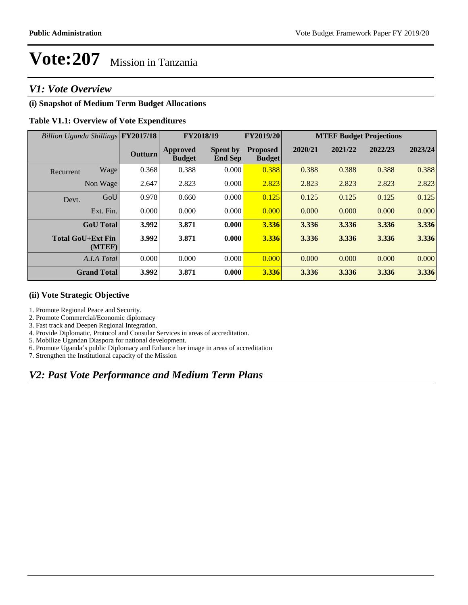### *V1: Vote Overview*

#### **(i) Snapshot of Medium Term Budget Allocations**

#### **Table V1.1: Overview of Vote Expenditures**

| Billion Uganda Shillings FY2017/18 |                  |                | FY2018/19                        |                            | FY2019/20                        | <b>MTEF Budget Projections</b> |         |         |         |
|------------------------------------|------------------|----------------|----------------------------------|----------------------------|----------------------------------|--------------------------------|---------|---------|---------|
|                                    |                  | <b>Outturn</b> | <b>Approved</b><br><b>Budget</b> | <b>Spent by</b><br>End Sep | <b>Proposed</b><br><b>Budget</b> | 2020/21                        | 2021/22 | 2022/23 | 2023/24 |
| Recurrent                          | Wage             | 0.368          | 0.388                            | 0.000                      | 0.388                            | 0.388                          | 0.388   | 0.388   | 0.388   |
|                                    | Non Wage         | 2.647          | 2.823                            | 0.000                      | 2.823                            | 2.823                          | 2.823   | 2.823   | 2.823   |
| Devt.                              | GoU              | 0.978          | 0.660                            | 0.000                      | 0.125                            | 0.125                          | 0.125   | 0.125   | 0.125   |
|                                    | Ext. Fin.        | 0.000          | 0.000                            | 0.000                      | 0.000                            | 0.000                          | 0.000   | 0.000   | 0.000   |
|                                    | <b>GoU</b> Total | 3.992          | 3.871                            | 0.000                      | 3.336                            | 3.336                          | 3.336   | 3.336   | 3.336   |
| <b>Total GoU+Ext Fin</b>           | (MTEF)           | 3.992          | 3.871                            | 0.000                      | 3.336                            | 3.336                          | 3.336   | 3.336   | 3.336   |
|                                    | A.I.A Total      | 0.000          | 0.000                            | 0.000                      | 0.000                            | 0.000                          | 0.000   | 0.000   | 0.000   |
| <b>Grand Total</b>                 |                  | 3.992          | 3.871                            | 0.000                      | 3.336                            | 3.336                          | 3.336   | 3.336   | 3.336   |

#### **(ii) Vote Strategic Objective**

1. Promote Regional Peace and Security.

2. Promote Commercial/Economic diplomacy

3. Fast track and Deepen Regional Integration.

4. Provide Diplomatic, Protocol and Consular Services in areas of accreditation.

5. Mobilize Ugandan Diaspora for national development.

6. Promote Uganda's public Diplomacy and Enhance her image in areas of accreditation

7. Strengthen the Institutional capacity of the Mission

### *V2: Past Vote Performance and Medium Term Plans*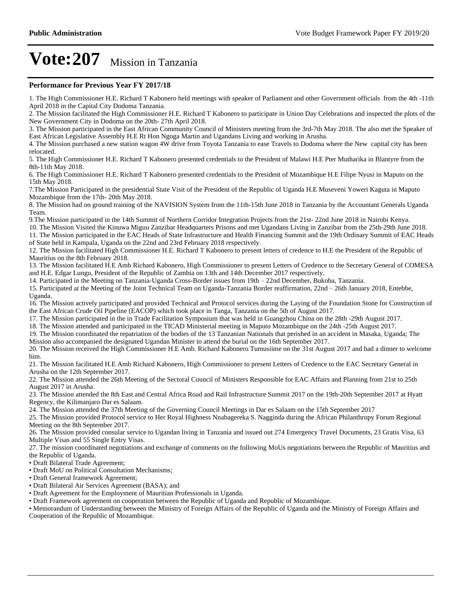#### **Performance for Previous Year FY 2017/18**

1. The High Commissioner H.E. Richard T Kabonero held meetings with speaker of Parliament and other Government officials from the 4th -11th April 2018 in the Capital City Dodoma Tanzania.

2. The Mission facilitated the High Commissioner H.E. Richard T Kabonero to participate in Union Day Celebrations and inspected the plots of the New Government City in Dodoma on the 20th- 27th April 2018.

3. The Mission participated in the East African Community Council of Ministers meeting from the 3rd-7th May 2018. The also met the Speaker of East African Legislative Assembly H.E Rt Hon Ngoga Martin and Ugandans Living and working in Arusha.

4. The Mission purchased a new station wagon 4W drive from Toyota Tanzania to ease Travels to Dodoma where the New capital city has been relocated.

5. The High Commissioner H.E. Richard T Kabonero presented credentials to the President of Malawi H.E Pter Mutharika in Blantyre from the 8th-11th May 2018.

6. The High Commissioner H.E. Richard T Kabonero presented credentials to the President of Mozambique H.E Filipe Nyusi in Maputo on the 15th May 2018.

7.The Mission Participated in the presidential State Visit of the President of the Republic of Uganda H.E Museveni Yoweri Kaguta in Maputo Mozambique from the 17th- 20th May 2018.

8. The Mission had on ground training of the NAVISION System from the 11th-15th June 2018 in Tanzania by the Accountant Generals Uganda Team.

9.The Mission participated in the 14th Summit of Northern Corridor Integration Projects from the 21st- 22nd June 2018 in Nairobi Kenya.

10. The Mission Visited the Kinuwa Miguu Zanzibar Headquarters Prisons and met Ugandans Living in Zanzibar from the 25th-29th June 2018.

11. The Mission participated in the EAC Heads of State Infrastructure and Health Financing Summit and the 19th Ordinary Summit of EAC Heads of State held in Kampala, Uganda on the 22nd and 23rd February 2018 respectively.

12. The Mission facilitated High Commissioner H.E. Richard T Kabonero to present letters of credence to H.E the President of the Republic of Mauritius on the 8th February 2018.

13. The Mission facilitated H.E Amb Richard Kabonero, High Commissioner to present Letters of Credence to the Secretary General of COMESA and H.E. Edgar Lungu, President of the Republic of Zambia on 13th and 14th December 2017 respectively.

14. Participated in the Meeting on Tanzania-Uganda Cross-Border issues from 19th - 22nd December, Bukoba, Tanzania.

15. Participated at the Meeting of the Joint Technical Team on Uganda-Tanzania Border reaffirmation,  $22nd - 26th$  January 2018, Entebbe, Uganda.

16. The Mission actively participated and provided Technical and Protocol services during the Laying of the Foundation Stone for Construction of the East African Crude Oil Pipeline (EACOP) which took place in Tanga, Tanzania on the 5th of August 2017.

- 17. The Mission participated in the in Trade Facilitation Symposium that was held in Guangzhou China on the 28th -29th August 2017.
- 18. The Mission attended and participated in the TICAD Ministerial meeting in Maputo Mozambique on the 24th -25th August 2017.

19. The Mission coordinated the repatriation of the bodies of the 13 Tanzanian Nationals that perished in an accident in Masaka, Uganda; The Mission also accompanied the designated Ugandan Minister to attend the burial on the 16th September 2017.

20. The Mission received the High Commissioner H.E Amb. Richard Kabonero Tumusiime on the 31st August 2017 and had a dinner to welcome him.

21. The Mission facilitated H.E Amb Richard Kabonero, High Commissioner to present Letters of Credence to the EAC Secretary General in Arusha on the 12th September 2017.

22. The Mission attended the 26th Meeting of the Sectoral Council of Ministers Responsible for EAC Affairs and Planning from 21st to 25th August 2017 in Arusha.

23. The Mission attended the 8th East and Central Africa Road and Rail Infrastructure Summit 2017 on the 19th-20th September 2017 at Hyatt Regency, the Kilimanjaro Dar es Salaam.

24. The Mission attended the 37th Meeting of the Governing Council Meetings in Dar es Salaam on the 15th September 2017

25. The Mission provided Protocol service to Her Royal Highness Nnabagereka S. Nagginda during the African Philanthropy Forum Regional Meeting on the 8th September 2017.

26. The Mission provided consular service to Ugandan living in Tanzania and issued out 274 Emergency Travel Documents, 23 Gratis Visa, 63 Multiple Visas and 55 Single Entry Visas.

27. The mission coordinated negotiations and exchange of comments on the following MoUs negotiations between the Republic of Mauritius and the Republic of Uganda.

- Draft Bilateral Trade Agreement;
- Draft MoU on Political Consultation Mechanisms;
- Draft General framework Agreement;
- Draft Bilateral Air Services Agreement (BASA); and

Draft Agreement for the Employment of Mauritian Professionals in Uganda.

Draft Framework agreement on cooperation between the Republic of Uganda and Republic of Mozambique.

Memorandum of Understanding between the Ministry of Foreign Affairs of the Republic of Uganda and the Ministry of Foreign Affairs and Cooperation of the Republic of Mozambique.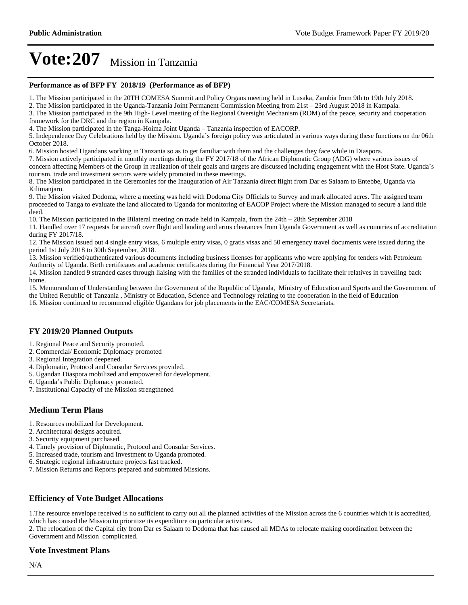#### **Performance as of BFP FY 2018/19 (Performance as of BFP)**

1. The Mission participated in the 20TH COMESA Summit and Policy Organs meeting held in Lusaka, Zambia from 9th to 19th July 2018.

2. The Mission participated in the Uganda-Tanzania Joint Permanent Commission Meeting from 21st - 23rd August 2018 in Kampala.

3. The Mission participated in the 9th High- Level meeting of the Regional Oversight Mechanism (ROM) of the peace, security and cooperation framework for the DRC and the region in Kampala.

4. The Mission participated in the Tanga-Hoima Joint Uganda - Tanzania inspection of EACORP.

5. Independence Day Celebrations held by the Mission. Uganda's foreign policy was articulated in various ways during these functions on the 06th October 2018.

6. Mission hosted Ugandans working in Tanzania so as to get familiar with them and the challenges they face while in Diaspora.

7. Mission actively participated in monthly meetings during the FY 2017/18 of the African Diplomatic Group (ADG) where various issues of concern affecting Members of the Group in realization of their goals and targets are discussed including engagement with the Host State. Uganda's tourism, trade and investment sectors were widely promoted in these meetings.

8. The Mission participated in the Ceremonies for the Inauguration of Air Tanzania direct flight from Dar es Salaam to Entebbe, Uganda via Kilimaniaro.

9. The Mission visited Dodoma, where a meeting was held with Dodoma City Officials to Survey and mark allocated acres. The assigned team proceeded to Tanga to evaluate the land allocated to Uganda for monitoring of EACOP Project where the Mission managed to secure a land title deed.

10. The Mission participated in the Bilateral meeting on trade held in Kampala, from the  $24th - 28th$  September 2018

11. Handled over 17 requests for aircraft over flight and landing and arms clearances from Uganda Government as well as countries of accreditation during FY 2017/18.

12. The Mission issued out 4 single entry visas, 6 multiple entry visas, 0 gratis visas and 50 emergency travel documents were issued during the period 1st July 2018 to 30th September, 2018.

13. Mission verified/authenticated various documents including business licenses for applicants who were applying for tenders with Petroleum Authority of Uganda. Birth certificates and academic certificates during the Financial Year 2017/2018.

14. Mission handled 9 stranded cases through liaising with the families of the stranded individuals to facilitate their relatives in travelling back home.

15. Memorandum of Understanding between the Government of the Republic of Uganda, Ministry of Education and Sports and the Government of the United Republic of Tanzania , Ministry of Education, Science and Technology relating to the cooperation in the field of Education 16. Mission continued to recommend eligible Ugandans for job placements in the EAC/COMESA Secretariats.

#### **FY 2019/20 Planned Outputs**

1. Regional Peace and Security promoted.

- 2. Commercial/ Economic Diplomacy promoted
- 3. Regional Integration deepened.
- 4. Diplomatic, Protocol and Consular Services provided.
- 5. Ugandan Diaspora mobilized and empowered for development.
- 6. Uganda's Public Diplomacy promoted.
- 7. Institutional Capacity of the Mission strengthened

#### **Medium Term Plans**

- 1. Resources mobilized for Development.
- 2. Architectural designs acquired.
- 3. Security equipment purchased.
- 4. Timely provision of Diplomatic, Protocol and Consular Services.
- 5. Increased trade, tourism and Investment to Uganda promoted.
- 6. Strategic regional infrastructure projects fast tracked.
- 7. Mission Returns and Reports prepared and submitted Missions.

#### **Efficiency of Vote Budget Allocations**

1.The resource envelope received is no sufficient to carry out all the planned activities of the Mission across the 6 countries which it is accredited, which has caused the Mission to prioritize its expenditure on particular activities.

2. The relocation of the Capital city from Dar es Salaam to Dodoma that has caused all MDAs to relocate making coordination between the Government and Mission complicated.

#### **Vote Investment Plans**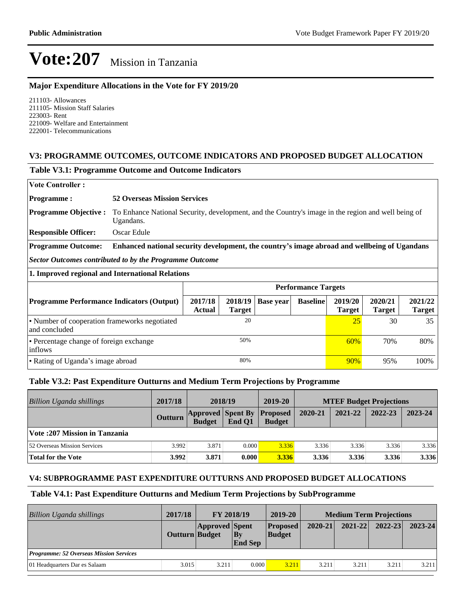#### **Major Expenditure Allocations in the Vote for FY 2019/20**

211103- Allowances 211105- Mission Staff Salaries 223003- Rent 221009- Welfare and Entertainment 222001- Telecommunications

#### **V3: PROGRAMME OUTCOMES, OUTCOME INDICATORS AND PROPOSED BUDGET ALLOCATION**

#### **Table V3.1: Programme Outcome and Outcome Indicators**

| <b>Vote Controller:</b>                                        |                                                                                                                 |                          |                  |                 |                          |                          |                          |  |  |  |
|----------------------------------------------------------------|-----------------------------------------------------------------------------------------------------------------|--------------------------|------------------|-----------------|--------------------------|--------------------------|--------------------------|--|--|--|
| <b>Programme:</b>                                              | <b>52 Overseas Mission Services</b>                                                                             |                          |                  |                 |                          |                          |                          |  |  |  |
| <b>Programme Objective:</b>                                    | To Enhance National Security, development, and the Country's image in the region and well being of<br>Ugandans. |                          |                  |                 |                          |                          |                          |  |  |  |
| <b>Responsible Officer:</b>                                    | Oscar Edule                                                                                                     |                          |                  |                 |                          |                          |                          |  |  |  |
| <b>Programme Outcome:</b>                                      | Enhanced national security development, the country's image abroad and wellbeing of Ugandans                    |                          |                  |                 |                          |                          |                          |  |  |  |
| <b>Sector Outcomes contributed to by the Programme Outcome</b> |                                                                                                                 |                          |                  |                 |                          |                          |                          |  |  |  |
| 1. Improved regional and International Relations               |                                                                                                                 |                          |                  |                 |                          |                          |                          |  |  |  |
|                                                                | <b>Performance Targets</b>                                                                                      |                          |                  |                 |                          |                          |                          |  |  |  |
| <b>Programme Performance Indicators (Output)</b>               | 2017/18<br>Actual                                                                                               | 2018/19<br><b>Target</b> | <b>Base year</b> | <b>Baseline</b> | 2019/20<br><b>Target</b> | 2020/21<br><b>Target</b> | 2021/22<br><b>Target</b> |  |  |  |
| • Number of cooperation frameworks negotiated<br>and concluded |                                                                                                                 | 20                       |                  |                 | <b>25</b>                | 30                       | 35                       |  |  |  |
| • Percentage change of foreign exchange<br>inflows             |                                                                                                                 | 50%                      |                  |                 | 60%                      | 70%                      | 80%                      |  |  |  |
| • Rating of Uganda's image abroad                              |                                                                                                                 | 80%                      |                  |                 | 90%                      | 95%                      | 100%                     |  |  |  |

#### **Table V3.2: Past Expenditure Outturns and Medium Term Projections by Programme**

| Billion Uganda shillings            | 2017/18        | 2018/19       |                                             | 2019-20       | <b>MTEF Budget Projections</b> |         |         |         |
|-------------------------------------|----------------|---------------|---------------------------------------------|---------------|--------------------------------|---------|---------|---------|
|                                     | <b>Outturn</b> | <b>Budget</b> | <b>Approved Spent By Proposed</b><br>End O1 | <b>Budget</b> | 2020-21                        | 2021-22 | 2022-23 | 2023-24 |
| Vote: 207 Mission in Tanzania       |                |               |                                             |               |                                |         |         |         |
| <b>52 Overseas Mission Services</b> | 3.992          | 3.871         | 0.000                                       | 3.336         | 3.336                          | 3.336   | 3.336   | 3.336   |
| Total for the Vote                  | 3.992          | 3.871         | 0.000                                       | 3.336         | 3.336                          | 3.336   | 3.336   | 3.336   |

#### **V4: SUBPROGRAMME PAST EXPENDITURE OUTTURNS AND PROPOSED BUDGET ALLOCATIONS**

#### **Table V4.1: Past Expenditure Outturns and Medium Term Projections by SubProgramme**

| Billion Uganda shillings                       | 2017/18        | <b>FY 2018/19</b>     |                                | 2019-20                          | <b>Medium Term Projections</b> |             |             |             |
|------------------------------------------------|----------------|-----------------------|--------------------------------|----------------------------------|--------------------------------|-------------|-------------|-------------|
|                                                | Outturn Budget | <b>Approved Spent</b> | $ {\bf B}$ v<br><b>End Sep</b> | <b>Proposed</b><br><b>Budget</b> | $2020 - 21$                    | $2021 - 22$ | $2022 - 23$ | $2023 - 24$ |
| <b>Programme: 52 Overseas Mission Services</b> |                |                       |                                |                                  |                                |             |             |             |
| 01 Headquarters Dar es Salaam                  | 3.015          | 3.211                 | 0.000                          | 3.211                            | 3.211                          | 3.211       | 3.211       | 3.211       |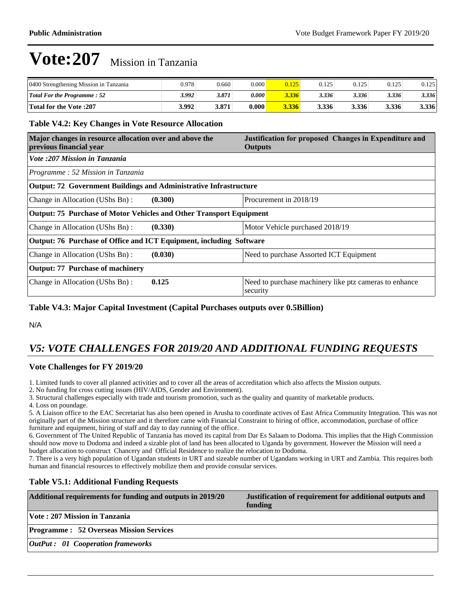| 0400 Strengthening Mission in Tanzania | 0.978 | 0.660 | 0.000 | 0.125 | 0.125 | 0.125 | 0.125 | 0.125 |
|----------------------------------------|-------|-------|-------|-------|-------|-------|-------|-------|
| <b>Total For the Programme: 52</b>     | 3.992 | 3.871 | 0.000 | 3.336 | 3.336 | 3.336 | 3.336 | 3.336 |
| <b>Total for the Vote :207</b>         | 3.992 | 3.871 | 0.000 | 3.336 | 3.336 | 3.336 | 3.336 | 3.336 |

#### **Table V4.2: Key Changes in Vote Resource Allocation**

| Major changes in resource allocation over and above the<br>previous financial year |                                                                            | Justification for proposed Changes in Expenditure and<br>Outputs   |  |  |  |  |  |
|------------------------------------------------------------------------------------|----------------------------------------------------------------------------|--------------------------------------------------------------------|--|--|--|--|--|
| <i>Vote :207 Mission in Tanzania</i>                                               |                                                                            |                                                                    |  |  |  |  |  |
| Programme: 52 Mission in Tanzania                                                  |                                                                            |                                                                    |  |  |  |  |  |
| <b>Output: 72 Government Buildings and Administrative Infrastructure</b>           |                                                                            |                                                                    |  |  |  |  |  |
| Change in Allocation (UShs Bn):                                                    | (0.300)                                                                    | Procurement in 2018/19                                             |  |  |  |  |  |
|                                                                                    | <b>Output: 75 Purchase of Motor Vehicles and Other Transport Equipment</b> |                                                                    |  |  |  |  |  |
| Change in Allocation (UShs Bn) :                                                   | (0.330)                                                                    | Motor Vehicle purchased 2018/19                                    |  |  |  |  |  |
| Output: 76 Purchase of Office and ICT Equipment, including Software                |                                                                            |                                                                    |  |  |  |  |  |
| Change in Allocation (UShs Bn):                                                    | (0.030)                                                                    | Need to purchase Assorted ICT Equipment                            |  |  |  |  |  |
| <b>Output: 77 Purchase of machinery</b>                                            |                                                                            |                                                                    |  |  |  |  |  |
| Change in Allocation (UShs Bn):                                                    | 0.125                                                                      | Need to purchase machinery like ptz cameras to enhance<br>security |  |  |  |  |  |

#### **Table V4.3: Major Capital Investment (Capital Purchases outputs over 0.5Billion)**

N/A

### *V5: VOTE CHALLENGES FOR 2019/20 AND ADDITIONAL FUNDING REQUESTS*

#### **Vote Challenges for FY 2019/20**

1. Limited funds to cover all planned activities and to cover all the areas of accreditation which also affects the Mission outputs.

2. No funding for cross cutting issues (HIV/AIDS, Gender and Environment).

3. Structural challenges especially with trade and tourism promotion, such as the quality and quantity of marketable products.

4. Loss on poundage.

5. A Liaison office to the EAC Secretariat has also been opened in Arusha to coordinate actives of East Africa Community Integration. This was not originally part of the Mission structure and it therefore came with Financial Constraint to hiring of office, accommodation, purchase of office furniture and equipment, hiring of staff and day to day running of the office.

6. Government of The United Republic of Tanzania has moved its capital from Dar Es Salaam to Dodoma. This implies that the High Commission should now move to Dodoma and indeed a sizable plot of land has been allocated to Uganda by government. However the Mission will need a budget allocation to construct Chancery and Official Residence to realize the relocation to Dodoma.

7. There is a very high population of Ugandan students in URT and sizeable number of Ugandans working in URT and Zambia. This requires both human and financial resources to effectively mobilize them and provide consular services.

#### **Table V5.1: Additional Funding Requests**

| Additional requirements for funding and outputs in 2019/20 | Justification of requirement for additional outputs and<br>funding |
|------------------------------------------------------------|--------------------------------------------------------------------|
| Vote: 207 Mission in Tanzania                              |                                                                    |
| <b>Programme : 52 Overseas Mission Services</b>            |                                                                    |
| <b>OutPut : 01 Cooperation frameworks</b>                  |                                                                    |